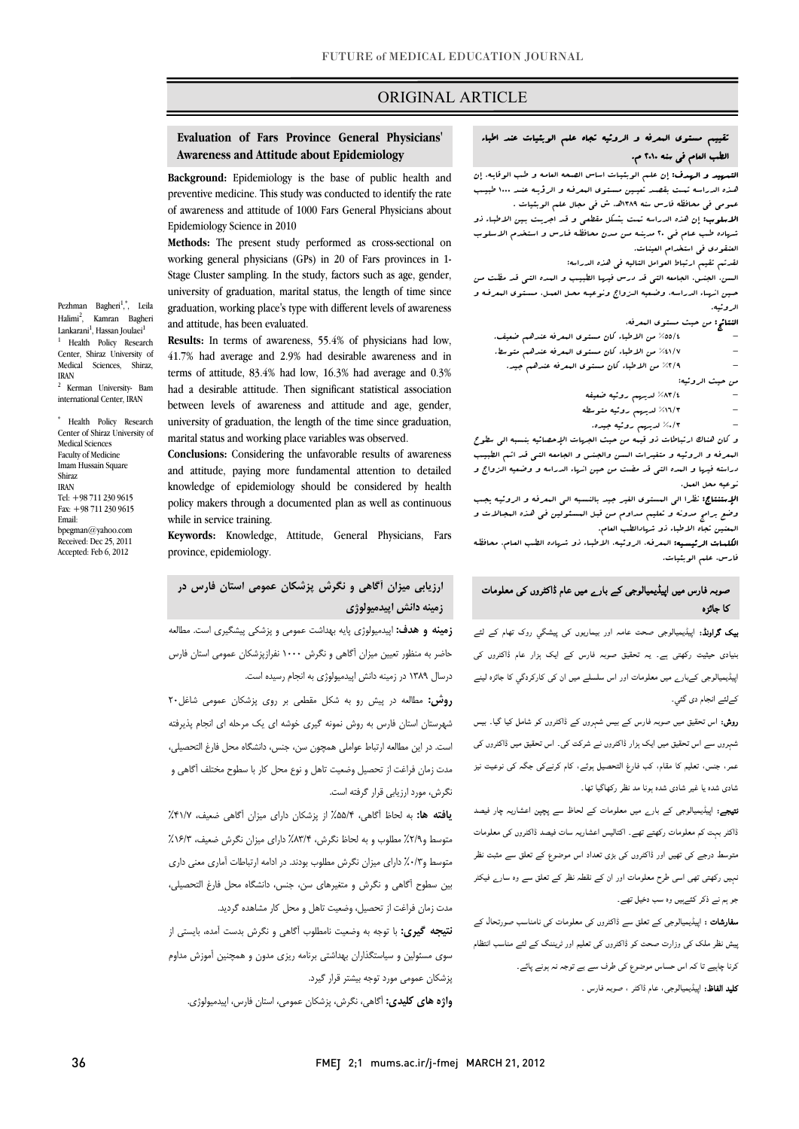## ORIGINAL ARTICLE

## **Evaluation of Fars Province General Physicians' Awareness and Attitude about Epidemiology**

ī

 **Background:** Epidemiology is the base of public health and preventive medicine. This study was conducted to identify the rate of awareness and attitude of 1000 Fars General Physicians about<br>Fridomialogy Science is 2010 Epidemiology Science in 2010

 **Methods:** The present study performed as cross-sectional on working general physicians (GPs) in 20 of Fars provinces in 1- Stage Cluster sampling. In the study, factors such as age, gender, university of graduation, marital status, the length of time since graduation, working place's type with different levels of awareness and attitude, has been evaluated.

 **Results:** In terms of awareness, 55.4% of physicians had low, 41.7% had average and 2.9% had desirable awareness and in terms of attitude, 83.4% had low, 16.3% had average and 0.3% had a desirable attitude. Then significant statistical association university of graduation, the length of the time since graduation, marital status and working place variables was observed. between levels of awareness and attitude and age, gender,

 **Conclusions:** Considering the unfavorable results of awareness and attitude, paying more fundamental attention to detailed knowledge of epidemiology should be considered by health policy makers through a documented plan as well as continuous while in service training.

 **Keywords:** Knowledge, Attitude, General Physicians, Fars province, epidemiology.

 **ارزيابي ميزان آگاهي و نگرش پزشكان عمومي استان فارس در زمينه دانش اپيدميولوژي**

 **زمينه و هدف:** اپيدميولوژي پايه بهداشت عمومي و پزشكي پيشگيري است. مطالعه حاضر به منظور تعيين ميزان آگاهي و نگرش 1000 نفرازپزشكان عمومي استان فارس درسال 1389 در زمينه دانش اپيدميولوژي به انجام رسيده است.

 **روش:** مطالعه در پيش رو به شكل مقطعي بر روي پزشكان عمومي شاغل20 شهرستان استان فارس به روش نمونه گيري خوشه اي يك مرحله اي انجام پذيرفته است. در اين مطالعه ارتباط عواملي همچون سن، جنس، دانشگاه محل فارغ التحصيلي، مدت زمان فراغت از تحصيل وضعيت تاهل و نوع محل كار با سطوح مختلف آگاهي و نگرش، مورد ارزيابي قرار گرفته است.

 **يافته ها:** به لحاظ آگاهي، %55/4 از پزشكان داراي ميزان آگاهي ضعيف، %41/7 متوسط و%2/9 مطلوب و به لحاظ نگرش، %83/4 داراي ميزان نگرش ضعيف، %16/3 متوسط و%0/3 داراي ميزان نگرش مطلوب بودند. در ادامه ارتباطات آماري معني داري بين سطوح آگاهي و نگرش و متغيرهاي سن، جنس، دانشگاه محل فارغ التحصيلي، مدت زمان فراغت از تحصيل، وضعيت تاهل و محل كار مشاهده گرديد.

 **نتيجه گيري:** با توجه به وضعيت نامطلوب آگاهي و نگرش بدست آمده، بايستي از سوي مسئولين و سياستگذاران بهداشتي برنامه ريزي مدون و همچنين آموزش مداوم پزشكان عمومي مورد توجه بيشتر قرار گيرد.

**واژه هاي كليدي:** آگاهي، نگرش، پزشكان عمومي، استان فارس، اپيدميولوژي.

# تقييم مستوي المعرفه و الروئيه تجاه علم الوبئيات عند اطباء الطب العام في سنه 2010 م.

<mark>التسبيد و الرسدف:</mark> إن علـم الوبئيـات اساس الصـحه العامـه و طـب الوقايـه. إن<br>مسمد عمومي في محافظه فارس سنه 1389هـ. ش في مجال علم الوبئيات . الاسلوب: إن هذه الدراسـه تمـت بشـكل مقطعـي و قـد اجريـت بـين الاطبـاء ذو شـهاده طـب عـام فـي 20 مدينـه مـن مـدن محافظـه فـارس و اسـتخدم الاسـلوب عُـذه الدراسه تــت بقصـد تعيـين مستوى البعرفه و الرؤيـه عنـد ١٠٠٠ طبيـب

العنقودي في استخدام العينات.

لقدتم تقيم ارتباط العوامل التاليه في هذه الدراسه:

Ī

 السن، الجنس، الجامعه التي قد درس فيهـا الطبيـب و المـده التـي قـد مظـت مـن حــين انهــاء الدراســه، وضــعيه الــزواج ونوعيــه محــل العمــل، مســتوي المعرفــه و الروئيه.

الن**تائج:** من حيث مستوى ال*معر*فه،

- - %55/4 من الاطباء كان مستوي المعرفه عندهم ضعيف. - %41/7 من الاطباء كان مستوي المعرفه عندهم متوسط.
	- %2/9 من الاطباء كان مستوي المعرفه عندهم جيد.

من حيث الروئيه:

- %83/4 لديهم روئيه ضعيفه
- - %16/3 لديهم روئيه متوسطه
	- %0/3 لديهم روئيه جيده.

و كان هناك ارتباطات ذو قيمه من حيث بييس.<br>و كان هناك ارتباطات ذو قيمه من حيث الجهيات الإحصائيه بنسبه الي سطوح المعرفـه و الروئيـه و متغيـرات السـن والجـنس و الجامعـه التـي قـد اتـم الطبيـب دراسته فيها و المده التي قد مضت من حين انهاء الدراسه و وضـعيه الـزواج و نوعيه محل العمل.

<sub>طو</sub>عيد عس العد.<br>**الإستنتاج:** نظرا ال<sub>ى</sub> المستوى الغير جيد بالنسبه ال<sub>ى</sub> الععرفه و الروئيـه يجـب وضع برامج مدونه و تعليم مـداوم مـن قبـل المسـئولين فـي هـذه المجـالات و المعنين تجاه الاطباء ذو شهادالطب العام.

ا**لكلمـات الرئيسـيه:** الىعرفـه، الروئيـه، الاطبـاء ذو شـهاده الطـب العـام، محافظـه<br>. فارس، علم الوبئيات.

## صوبہ فارس میں اپیڈیمیالوجی کے بارے میں عام ڈاکٹروں کی معلومات کا جائزہ

 بیک گراونڈ: اپیڈیمیالوجی صحت عامہ اور بیماریوں کی پیشگي روک تھام کے لئے بنیادی حیثیت رکھتی ہے۔ یہ تحقیق صوبہ فارس کے ایک ہزار عام ڈاکٹروں کی Ì اپیڈیمیالوجی کےبارے میں معلومات اور اس سلسلے میں ان کی کارکردگي کا جائزہ لینے کےلئے انجام دی گئي۔

 روش: اس تحقیق میں صوبہ فارس کے بیس شہروں کے ڈاکٹروں کو شامل کیا گيا۔ بیس شہروں سے اس تحقیق میں ایک ہزار ڈاکٹروں نے شرکت کی۔ اس تحقیق میں ڈاکٹروں کی عمر، جنس، تعلیم کا مقام، کب فارغ التحصیل ہوئے، کام کرنےکی جگہ کی نوعیت نیز شادی شدہ یا غیر شادی شدہ ہونا مد نظر رکھاگيا تھا۔

 نتیجے: اپیڈیمیالوجی کے بارے میں معلومات کے لحاظ سے پچپن اعشاریہ چار فیصد ڈاکٹر بہت کم معلومات رکھتے تھے۔ اکتالیس اعشاریہ سات فیصد ڈاکٹروں کی معلومات متوسط درجے کی تھیں اور ڈاکٹروں کی بڑی تعداد اس موضوع کے تعلق سے مثبت نظر نہیں رکھتی تھی اسی طرح معلومات اور ان کے نقطہ نظر کے تعلق سے وہ سارے فیکٹر جو ہم نے ذکر کئےہیں وہ سب دخیل تھے۔

 سفارشات : اپیڈیمیالوجی کے تعلق سے ڈاکٹروں کی معلومات کی نامناسب صورتحال کے پیش نظر ملک کی وزارت صحت کو ڈاکٹروں کی تعلیم اور ٹریننگ کے لئے مناسب انتظام کرنا چاہیے تا کہ اس حساس موضوع کی طرف سے بے توجہ نہ ہونے پائے۔ <mark>کلید الفاظ:</mark> اپیڈیمیالوجی، عام ڈاکٹر ، صوبہ فارس ۔<br>۔

Lankarani<sup>1</sup>, Hassan Joulaei<sup>1</sup> <sup>1</sup> Health Policy Research Center, Shiraz University of Medical Sciences, Shiraz, IRAN <sup>2</sup> Kerman University- Bam international Center, IRAN \* Health Policy Research

Pezhman Bagheri<sup>1</sup>,\*, Leila Halimi<sup>2</sup>, Kamran Bagheri

Center of Shiraz University of Medical Sciences Faculty of Medicine Imam Hussain Square Shiraz IRAN Tel: +98 711 230 9615 Fax: +98 711 230 9615 Email: bpegman@yahoo.com Received: Dec 25, 2011 Accepted: Feb 6, 2012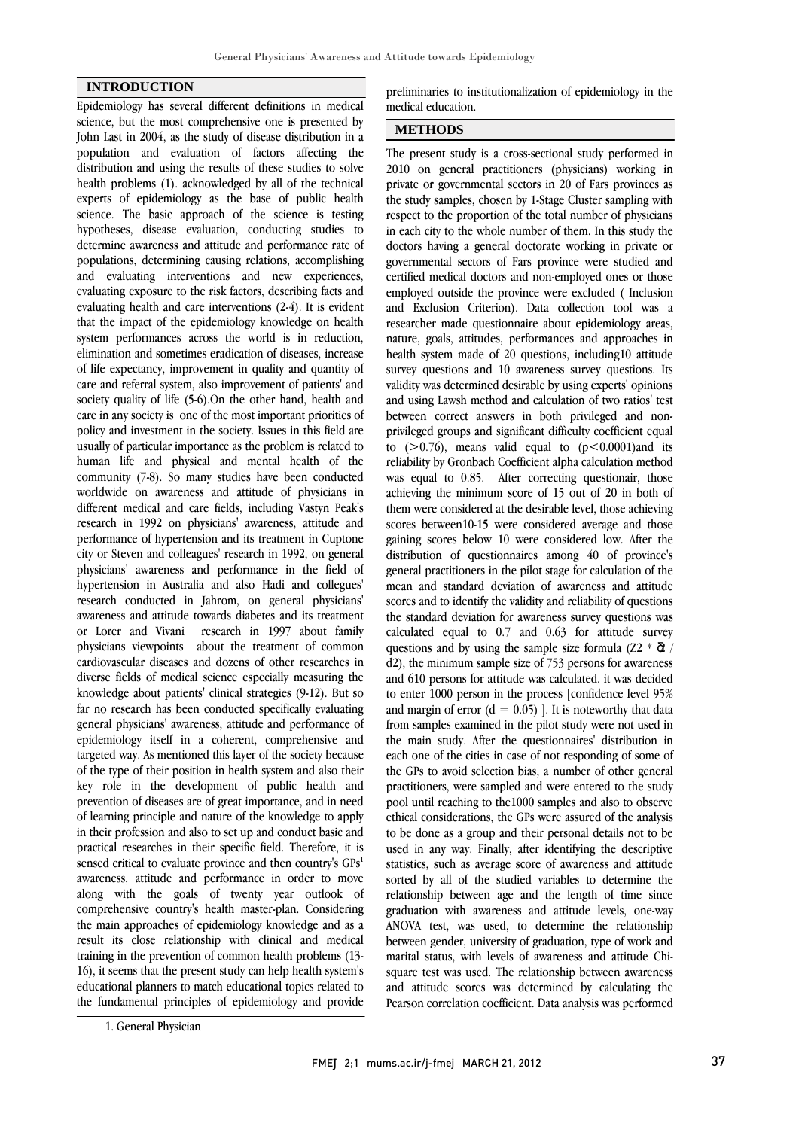#### **INTRODUCTION**

Epidemiology has several different definitions in medical science, but the most comprehensive one is presented by John Last in 2004, as the study of disease distribution in a population and evaluation of factors affecting the distribution and using the results of these studies to solve health problems (1). acknowledged by all of the technical experts of epidemiology as the base of public health science. The basic approach of the science is testing hypotheses, disease evaluation, conducting studies to determine awareness and attitude and performance rate of populations, determining causing relations, accomplishing and evaluating interventions and new experiences, evaluating exposure to the risk factors, describing facts and evaluating health and care interventions (2-4). It is evident that the impact of the epidemiology knowledge on health system performances across the world is in reduction, elimination and sometimes eradication of diseases, increase of life expectancy, improvement in quality and quantity of care and referral system, also improvement of patients' and society quality of life (5-6). On the other hand, health and care in any society is one of the most important priorities of policy and investment in the society. Issues in this field are usually of particular importance as the problem is related to human life and physical and mental health of the community (7-8). So many studies have been conducted worldwide on awareness and attitude of physicians in different medical and care fields, including Vastyn Peak's research in 1992 on physicians' awareness, attitude and performance of hypertension and its treatment in Cuptone city or Steven and colleagues' research in 1992, on general physicians' awareness and performance in the field of hypertension in Australia and also Hadi and collegues' research conducted in Jahrom, on general physicians' awareness and attitude towards diabetes and its treatment or Lorer and Vivani research in 1997 about family physicians viewpoints about the treatment of common cardiovascular diseases and dozens of other researches in diverse fields of medical science especially measuring the knowledge about patients' clinical strategies (9-12). But so far no research has been conducted specifically evaluating general physicians' awareness, attitude and performance of epidemiology itself in a coherent, comprehensive and targeted way. As mentioned this layer of the society because of the type of their position in health system and also their key role in the development of public health and prevention of diseases are of great importance, and in need of learning principle and nature of the knowledge to apply in their profession and also to set up and conduct basic and practical researches in their specific field. Therefore, it is sensed critical to evaluate province and then country's GPs<sup>1</sup> awareness, attitude and performance in order to move along with the goals of twenty year outlook of comprehensive country's health master-plan. Considering the main approaches of epidemiology knowledge and as a result its close relationship with clinical and medical training in the prevention of common health problems (13- 16), it seems that the present study can help health system's educational planners to match educational topics related to the fundamental principles of epidemiology and provide

 preliminaries to institutionalization of epidemiology in the .<br>medical education.

# **METHODS**

 The present study is a cross-sectional study performed in 2010 on general practitioners (physicians) working in private or governmental sectors in 20 of Fars provinces as the study samples, chosen by 1-Stage Cluster sampling with respect to the proportion of the total number of physicians doctors having a general doctorate working in private or governmental sectors of Fars province were studied and certified medical doctors and non-employed ones or those employed outside the province were excluded ( Inclusion researcher made questionnaire about epidemiology areas, nature, goals, attitudes, performances and approaches in health system made of 20 questions, including10 attitude survey questions and 10 awareness survey questions. Its and using Lawsh method and calculation of two ratios' test between correct answers in both privileged and non- privileged groups and significant difficulty coefficient equal to  $(>0.76)$ , means valid equal to  $(p<0.0001)$  and its was equal to 0.85. After correcting questionair, those achieving the minimum score of 15 out of 20 in both of them were considered at the desirable level, those achieving scores between10-15 were considered average and those distribution of questionnaires among 40 of province's general practitioners in the pilot stage for calculation of the mean and standard deviation of awareness and attitude scores and to identify the validity and reliability of questions calculated equal to 0.7 and 0.63 for attitude survey questions and by using the sample size formula (Z2  $*$   $\bar{\alpha}$ ) d2), the minimum sample size of 753 persons for awareness and 610 persons for attitude was calculated. it was decided and margin of error  $(d = 0.05)$  ]. It is noteworthy that data from samples examined in the pilot study were not used in the main study. After the questionnaires' distribution in each one of the cities in case of not responding of some of practitioners, were sampled and were entered to the study pool until reaching to the1000 samples and also to observe ethical considerations, the GPs were assured of the analysis where is a group and their personal details not to be<br>used in any way. Finally, after identifying the descriptive statistics, such as average score of awareness and attitude sorted by all of the studied variables to determine the relationship between age and the length of time since ANOVA test, was used, to determine the relationship between gender, university of graduation, type of work and marital status, with levels of awareness and attitude Chi- square test was used. The relationship between awareness and attitude scores was determined by calculating the Pearson correlation coefficient. Data analysis was performed in each city to the whole number of them. In this study the and Exclusion Criterion). Data collection tool was a validity was determined desirable by using experts' opinions reliability by Gronbach Coefficient alpha calculation method gaining scores below 10 were considered low. After the the standard deviation for awareness survey questions was to enter 1000 person in the process [confidence level 95% the GPs to avoid selection bias, a number of other general to be done as a group and their personal details not to be graduation with awareness and attitude levels, one-way

<sup>1.</sup> General Physician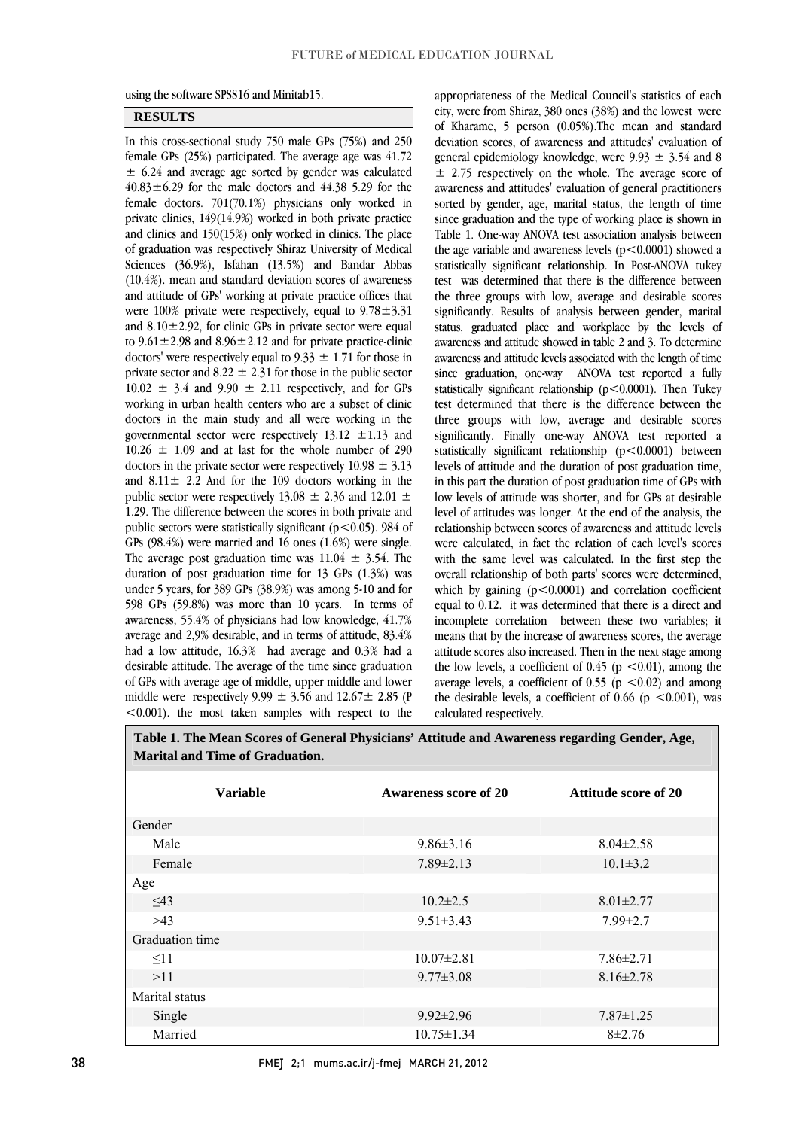֦  $\overline{a}$ 

using the software SPSS16 and Minitab15.

#### **RESULTS**

 In this cross-sectional study 750 male GPs (75%) and 250 female GPs (25%) participated. The average age was 41.72  $40.83 \pm 6.29$  for the male doctors and  $44.38$  5.29 for the female doctors. 701(70.1%) physicians only worked in private clinics, 149(14.9%) worked in both private practice and clinics and 150(15%) only worked in clinics. The place Sciences (36.9%), Isfahan (13.5%) and Bandar Abbas (10.4%). mean and standard deviation scores of awareness and attitude of GPs' working at private practice offices that were  $100\%$  private were respectively, equal to  $9.78 \pm 3.31$ to  $9.61 \pm 2.98$  and  $8.96 \pm 2.12$  and for private practice-clinic doctors' were respectively equal to  $9.33 \pm 1.71$  for those in private sector and  $8.22 \pm 2.31$  for those in the public sector  $10.02 \pm 3.4$  and  $9.90 \pm 2.11$  respectively, and for GPs doctors in the main study and all were working in the governmental sector were respectively  $13.12 \pm 1.13$  and  $10.26 \pm 1.09$  and at last for the whole number of 290 doctors in the private sector were respectively  $10.98 \pm 3.13$ public sector were respectively 13.08  $\pm$  2.36 and 12.01  $\pm$  1.29. The difference between the scores in both private and public sectors were statistically significant (p<0.05). 984 of The average post graduation time was  $11.04 \pm 3.54$ . The duration of post graduation time for 13 GPs  $(1.3%)$  was under 5 years, for 389 GPs (38.9%) was among 5-10 and for 598 GPs (59.8%) was more than 10 years. In terms of awareness, 55.4% of physicians had low knowledge, 41.7% had a low attitude, 16.3% had average and 0.3% had a desirable attitude. The average of the time since graduation of GPs with average age of middle, upper middle and lower middle were respectively  $9.99 \pm 3.56$  and  $12.67 \pm 2.85$  (P l  $\pm$  6.24 and average age sorted by gender was calculated of graduation was respectively Shiraz University of Medical and  $8.10 \pm 2.92$ , for clinic GPs in private sector were equal working in urban health centers who are a subset of clinic and  $8.11 \pm 2.2$  And for the 109 doctors working in the GPs (98.4%) were married and 16 ones (1.6%) were single. average and 2,9% desirable, and in terms of attitude, 83.4% <0.001). the most taken samples with respect to the

 appropriateness of the Medical Council's statistics of each city, were from Shiraz, 380 ones (38%) and the lowest were of Kharame, 5 person (0.05%).The mean and standard deviation scores, of awareness and attitudes' evaluation of general epidemiology knowledge, were  $9.93 \pm 3.54$  and 8 **EVALUATION** respectively on the whole. The average sector of awareness and attitudes' evaluation of general practitioners sorted by gender, age, marital status, the length of time since graduation and the type of working place is shown in Table 1. One-way ANOVA test association analysis between statistically significant relationship. In Post-ANOVA tukey test was determined that there is the difference between the three groups with low, average and desirable scores significantly. Results of analysis between gender, marital awareness and attitude showed in table 2 and 3. To determine awareness and attitude levels associated with the length of time since graduation, one-way ANOVA test reported a fully statistically significant relationship  $(p<0.0001)$ . Then Tukey three groups with low, average and desirable scores significantly. Finally one-way ANOVA test reported a statistically significant relationship (p<0.0001) between levels of attitude and the duration of post graduation time, low levels of attitude was shorter, and for GPs at desirable level of attitudes was longer. At the end of the analysis, the relationship between scores of awareness and attitude levels were calculated, in fact the relation of each level's scores overall relationship of both parts' scores were determined, which by gaining  $(p<0.0001)$  and correlation coefficient equal to 0.12. it was determined that there is a direct and incomplete correlation between these two variables; it attitude scores also increased. Then in the next stage among the low levels, a coefficient of  $0.45$  (p <0.01), among the average levels, a coefficient of 0.55 ( $p < 0.02$ ) and among the desirable levels, a coefficient of  $0.66$  (p <0.001), was  $\overline{a}$  $\pm$  2.75 respectively on the whole. The average score of the age variable and awareness levels  $(p<0.0001)$  showed a status, graduated place and workplace by the levels of test determined that there is the difference between the in this part the duration of post graduation time of GPs with with the same level was calculated. In the first step the means that by the increase of awareness scores, the average calculated respectively.

 **Table 1. The Mean Scores of General Physicians' Attitude and Awareness regarding Gender, Age, Marital and Time of Graduation.** 

| <b>Variable</b> | Awareness score of 20 | <b>Attitude score of 20</b> |  |  |
|-----------------|-----------------------|-----------------------------|--|--|
| Gender          |                       |                             |  |  |
| Male            | $9.86 \pm 3.16$       | $8.04 \pm 2.58$             |  |  |
| Female          | $7.89 \pm 2.13$       | $10.1 \pm 3.2$              |  |  |
| Age             |                       |                             |  |  |
| $\leq$ 43       | $10.2 \pm 2.5$        | $8.01 \pm 2.77$             |  |  |
| >43             | $9.51 \pm 3.43$       | $7.99 \pm 2.7$              |  |  |
| Graduation time |                       |                             |  |  |
| $\leq$ 11       | $10.07 \pm 2.81$      | $7.86 \pm 2.71$             |  |  |
| >11             | $9.77 \pm 3.08$       | $8.16 \pm 2.78$             |  |  |
| Marital status  |                       |                             |  |  |
| Single          | $9.92 \pm 2.96$       | $7.87 \pm 1.25$             |  |  |
| Married         | $10.75 \pm 1.34$      | $8 + 2.76$                  |  |  |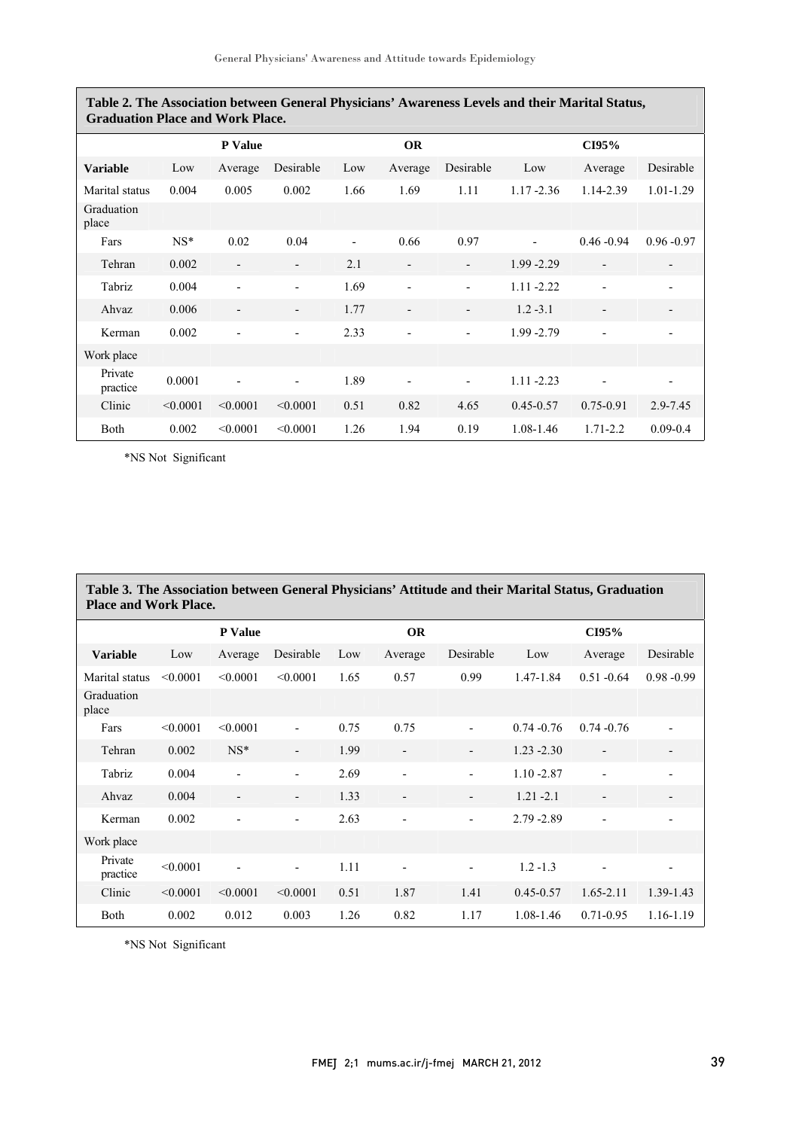$\overline{a}$ 

| <b>Graduation Place and Work Place.</b> |          |                          |                          |                          |                          |                          |               |                          |               |
|-----------------------------------------|----------|--------------------------|--------------------------|--------------------------|--------------------------|--------------------------|---------------|--------------------------|---------------|
|                                         |          | <b>P</b> Value           |                          |                          | <b>OR</b>                |                          |               | CI95%                    |               |
| <b>Variable</b>                         | Low      | Average                  | Desirable                | Low                      | Average                  | Desirable                | Low           | Average                  | Desirable     |
| Marital status                          | 0.004    | 0.005                    | 0.002                    | 1.66                     | 1.69                     | 1.11                     | $1.17 - 2.36$ | 1.14-2.39                | $1.01 - 1.29$ |
| Graduation<br>place                     |          |                          |                          |                          |                          |                          |               |                          |               |
| Fars                                    | $NS^*$   | 0.02                     | 0.04                     | $\overline{\phantom{a}}$ | 0.66                     | 0.97                     |               | $0.46 - 0.94$            | $0.96 - 0.97$ |
| Tehran                                  | 0.002    | $\overline{\phantom{a}}$ | $\overline{\phantom{0}}$ | 2.1                      | $\overline{\phantom{a}}$ | $\overline{\phantom{a}}$ | 1.99 - 2.29   | $\overline{\phantom{a}}$ |               |
| Tabriz                                  | 0.004    | $\overline{\phantom{a}}$ | $\overline{\phantom{0}}$ | 1.69                     | $\overline{\phantom{a}}$ | $\overline{\phantom{a}}$ | $1.11 - 2.22$ | $\overline{\phantom{a}}$ |               |
| Ahvaz                                   | 0.006    | $\overline{\phantom{a}}$ | $\overline{\phantom{0}}$ | 1.77                     | $\overline{\phantom{a}}$ | $\overline{\phantom{a}}$ | $1.2 - 3.1$   | $\overline{\phantom{a}}$ |               |
| Kerman                                  | 0.002    | $\overline{a}$           | $\overline{\phantom{0}}$ | 2.33                     | $\overline{\phantom{a}}$ | $\overline{\phantom{a}}$ | 1.99 - 2.79   | $\overline{\phantom{0}}$ |               |
| Work place                              |          |                          |                          |                          |                          |                          |               |                          |               |
| Private<br>practice                     | 0.0001   |                          |                          | 1.89                     |                          |                          | $1.11 - 2.23$ |                          |               |
| Clinic                                  | < 0.0001 | < 0.0001                 | < 0.0001                 | 0.51                     | 0.82                     | 4.65                     | $0.45 - 0.57$ | 0.75-0.91                | 2.9-7.45      |
| Both                                    | 0.002    | < 0.0001                 | < 0.0001                 | 1.26                     | 1.94                     | 0.19                     | 1.08-1.46     | $1.71 - 2.2$             | $0.09 - 0.4$  |

**Table 2. The Association between General Physicians' Awareness Levels and their Marital Status,** 

\*NS Not Significant

| Table 3. The Association between General Physicians' Attitude and their Marital Status, Graduation<br><b>Place and Work Place.</b> |          |                          |                          |           |                          |                          |               |                          |               |
|------------------------------------------------------------------------------------------------------------------------------------|----------|--------------------------|--------------------------|-----------|--------------------------|--------------------------|---------------|--------------------------|---------------|
|                                                                                                                                    | P Value  |                          |                          | <b>OR</b> |                          |                          | CI95%         |                          |               |
| <b>Variable</b>                                                                                                                    | Low      | Average                  | Desirable                | Low       | Average                  | Desirable                | Low           | Average                  | Desirable     |
| Marital status                                                                                                                     | < 0.0001 | < 0.0001                 | < 0.0001                 | 1.65      | 0.57                     | 0.99                     | 1.47-1.84     | $0.51 - 0.64$            | $0.98 - 0.99$ |
| Graduation<br>place                                                                                                                |          |                          |                          |           |                          |                          |               |                          |               |
| Fars                                                                                                                               | < 0.0001 | < 0.0001                 | $\overline{a}$           | 0.75      | 0.75                     |                          | $0.74 - 0.76$ | $0.74 - 0.76$            |               |
| Tehran                                                                                                                             | 0.002    | $NS^*$                   | $\overline{\phantom{0}}$ | 1.99      | $\overline{\phantom{a}}$ | $\overline{\phantom{a}}$ | $1.23 - 2.30$ | $\overline{\phantom{a}}$ |               |
| Tabriz                                                                                                                             | 0.004    | $\overline{a}$           | $\overline{\phantom{a}}$ | 2.69      |                          | $\overline{a}$           | $1.10 - 2.87$ |                          |               |
| Ahvaz                                                                                                                              | 0.004    | $\overline{\phantom{a}}$ | $\overline{\phantom{a}}$ | 1.33      | $\overline{\phantom{a}}$ | $\overline{\phantom{a}}$ | $1.21 - 2.1$  | $\overline{\phantom{a}}$ |               |
| Kerman                                                                                                                             | 0.002    | $\overline{\phantom{a}}$ | $\overline{\phantom{0}}$ | 2.63      | $\overline{\phantom{a}}$ | $\overline{\phantom{a}}$ | $2.79 - 2.89$ |                          |               |
| Work place                                                                                                                         |          |                          |                          |           |                          |                          |               |                          |               |
| Private<br>practice                                                                                                                | < 0.0001 |                          | $\overline{\phantom{a}}$ | 1.11      |                          |                          | $1.2 - 1.3$   |                          |               |
| Clinic                                                                                                                             | < 0.0001 | < 0.0001                 | < 0.0001                 | 0.51      | 1.87                     | 1.41                     | $0.45 - 0.57$ | $1.65 - 2.11$            | 1.39-1.43     |
| Both                                                                                                                               | 0.002    | 0.012                    | 0.003                    | 1.26      | 0.82                     | 1.17                     | 1.08-1.46     | $0.71 - 0.95$            | 1.16-1.19     |

\*NS Not Significant